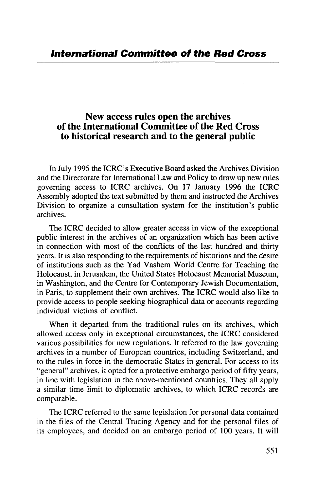## New access rules open the archives of the International Committee of the Red Cross to historical research and to the general public

In July 1995 the ICRC's Executive Board asked the Archives Division and the Directorate for International Law and Policy to draw up new rules governing access to ICRC archives. On 17 January 1996 the ICRC Assembly adopted the text submitted by them and instructed the Archives Division to organize a consultation system for the institution's public archives.

The ICRC decided to allow greater access in view of the exceptional public interest in the archives of an organization which has been active in connection with most of the conflicts of the last hundred and thirty years. It is also responding to the requirements of historians and the desire of institutions such as the Yad Vashem World Centre for Teaching the Holocaust, in Jerusalem, the United States Holocaust Memorial Museum, in Washington, and the Centre for Contemporary Jewish Documentation, in Paris, to supplement their own archives. The ICRC would also like to provide access to people seeking biographical data or accounts regarding individual victims of conflict.

When it departed from the traditional rules on its archives, which allowed access only in exceptional circumstances, the ICRC considered various possibilities for new regulations. It referred to the law governing archives in a number of European countries, including Switzerland, and to the rules in force in the democratic States in general. For access to its "general" archives, it opted for a protective embargo period of fifty years, in line with legislation in the above-mentioned countries. They all apply a similar time limit to diplomatic archives, to which ICRC records are comparable.

The ICRC referred to the same legislation for personal data contained in the files of the Central Tracing Agency and for the personal files of its employees, and decided on an embargo period of 100 years. It will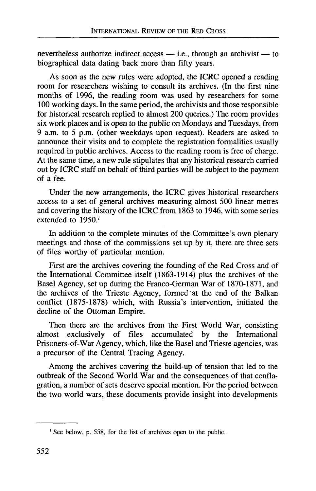nevertheless authorize indirect access — i.e., through an archivist — to biographical data dating back more than fifty years.

As soon as the new rules were adopted, the ICRC opened a reading room for researchers wishing to consult its archives. (In the first nine months of 1996, the reading room was used by researchers for some 100 working days. In the same period, the archivists and those responsible for historical research replied to almost 200 queries.) The room provides six work places and is open to the public on Mondays and Tuesdays, from 9 a.m. to 5 p.m. (other weekdays upon request). Readers are asked to announce their visits and to complete the registration formalities usually required in public archives. Access to the reading room is free of charge. At the same time, a new rule stipulates that any historical research carried out by ICRC staff on behalf of third parties will be subject to the payment of a fee.

Under the new arrangements, the ICRC gives historical researchers access to a set of general archives measuring almost 500 linear metres and covering the history of the ICRC from 1863 to 1946, with some series extended to 1950.<sup>1</sup>

In addition to the complete minutes of the Committee's own plenary meetings and those of the commissions set up by it, there are three sets of files worthy of particular mention.

First are the archives covering the founding of the Red Cross and of the International Committee itself (1863-1914) plus the archives of the Basel Agency, set up during the Franco-German War of 1870-1871, and the archives of the Trieste Agency, formed at the end of the Balkan conflict (1875-1878) which, with Russia's intervention, initiated the decline of the Ottoman Empire.

Then there are the archives from the First World War, consisting almost exclusively of files accumulated by the International Prisoners-of-War Agency, which, like the Basel and Trieste agencies, was a precursor of the Central Tracing Agency.

Among the archives covering the build-up of tension that led to the outbreak of the Second World War and the consequences of that conflagration, a number of sets deserve special mention. For the period between the two world wars, these documents provide insight into developments

See below, p. 558, for the list of archives open to the public.